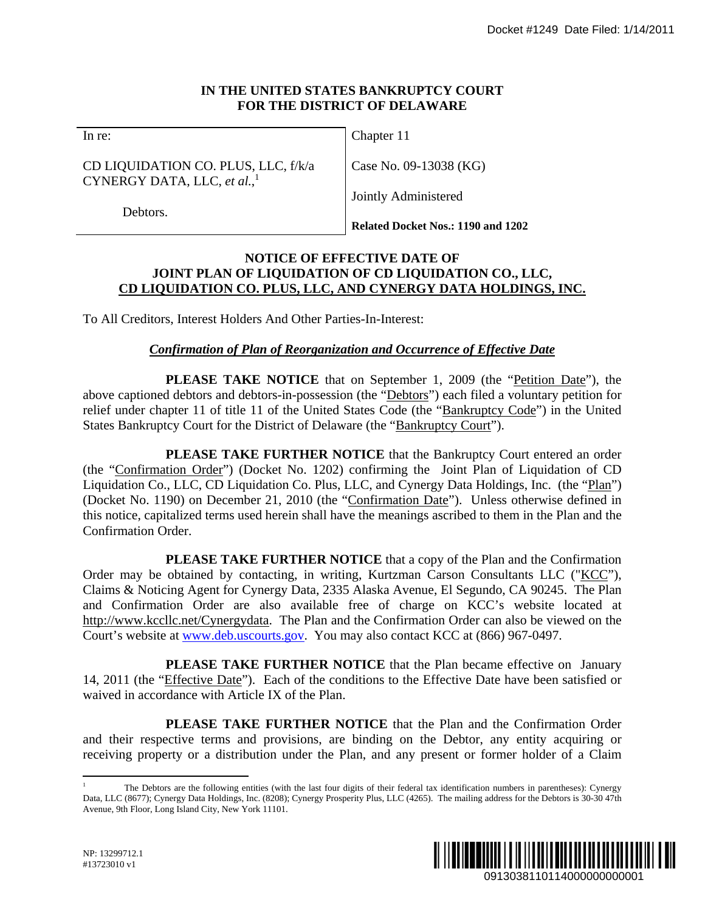## **IN THE UNITED STATES BANKRUPTCY COURT FOR THE DISTRICT OF DELAWARE**

CD LIQUIDATION CO. PLUS, LLC, f/k/a CYNERGY DATA, LLC, *et al.*, 1

Chapter 11

Case No. 09-13038 (KG)

Jointly Administered

Debtors.

**Related Docket Nos.: 1190 and 1202** 

## **NOTICE OF EFFECTIVE DATE OF JOINT PLAN OF LIQUIDATION OF CD LIQUIDATION CO., LLC, CD LIQUIDATION CO. PLUS, LLC, AND CYNERGY DATA HOLDINGS, INC.**

To All Creditors, Interest Holders And Other Parties-In-Interest:

# *Confirmation of Plan of Reorganization and Occurrence of Effective Date*

**PLEASE TAKE NOTICE** that on September 1, 2009 (the "Petition Date"), the above captioned debtors and debtors-in-possession (the "Debtors") each filed a voluntary petition for relief under chapter 11 of title 11 of the United States Code (the "Bankruptcy Code") in the United States Bankruptcy Court for the District of Delaware (the "Bankruptcy Court").

PLEASE TAKE FURTHER NOTICE that the Bankruptcy Court entered an order (the "Confirmation Order") (Docket No. 1202) confirming the Joint Plan of Liquidation of CD Liquidation Co., LLC, CD Liquidation Co. Plus, LLC, and Cynergy Data Holdings, Inc. (the "Plan") (Docket No. 1190) on December 21, 2010 (the "Confirmation Date"). Unless otherwise defined in this notice, capitalized terms used herein shall have the meanings ascribed to them in the Plan and the Confirmation Order. Docket #1249 Date Filed: 1/14/2011<br> **RT**<br> **CO., LLC,**<br> **OLOLOINGS, INC.**<br> **CO., LLC**,<br> **OLODINGS, INC.**<br>
the "<u>Petition Date</u>"), the<br>
the "<u>Petition Date</u>"), the data voluntary petition for<br>
they Code") in the United<br>
divi

**PLEASE TAKE FURTHER NOTICE** that a copy of the Plan and the Confirmation Order may be obtained by contacting, in writing, Kurtzman Carson Consultants LLC ("KCC"), Claims & Noticing Agent for Cynergy Data, 2335 Alaska Avenue, El Segundo, CA 90245. The Plan and Confirmation Order are also available free of charge on KCC's website located at http://www.kccllc.net/Cynergydata. The Plan and the Confirmation Order can also be viewed on the Court's website at www.deb.uscourts.gov. You may also contact KCC at (866) 967-0497.

**PLEASE TAKE FURTHER NOTICE** that the Plan became effective on January 14, 2011 (the "Effective Date"). Each of the conditions to the Effective Date have been satisfied or waived in accordance with Article IX of the Plan.

**PLEASE TAKE FURTHER NOTICE** that the Plan and the Confirmation Order and their respective terms and provisions, are binding on the Debtor, any entity acquiring or receiving property or a distribution under the Plan, and any present or former holder of a Claim

 $\overline{a}$ 1 The Debtors are the following entities (with the last four digits of their federal tax identification numbers in parentheses): Cynergy Data, LLC (8677); Cynergy Data Holdings, Inc. (8208); Cynergy Prosperity Plus, LLC (4265). The mailing address for the Debtors is 30-30 47th Avenue, 9th Floor, Long Island City, New York 11101.